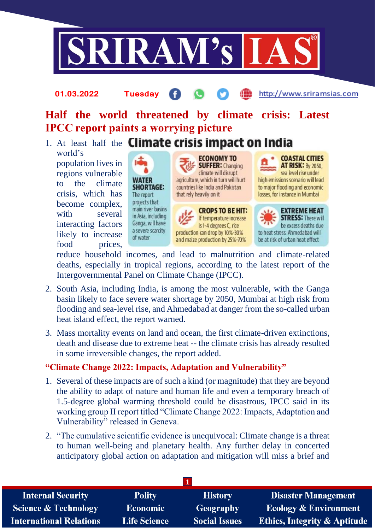

# **Half the world threatened by climate crisis: Latest IPCC report paints a worrying picture**

1. At least half the **Climate crisis impact on India** world's

**01.03.2022 Tuesday**

population lives in regions vulnerable to the climate crisis, which has become complex, with several interacting factors likely to increase food prices,





and maize production by 25%-70%



http://www.sriramsias.com

**EXTREME HEAT STRESS: There will** be excess deaths due to heat stress. Ahmedabad will be at risk of urban heat effect

reduce household incomes, and lead to malnutrition and climate-related deaths, especially in tropical regions, according to the latest report of the Intergovernmental Panel on Climate Change (IPCC).

- 2. South Asia, including India, is among the most vulnerable, with the Ganga basin likely to face severe water shortage by 2050, Mumbai at high risk from flooding and sea-level rise, and Ahmedabad at danger from the so-called urban heat island effect, the report warned.
- 3. Mass mortality events on land and ocean, the first climate-driven extinctions, death and disease due to extreme heat -- the climate crisis has already resulted in some irreversible changes, the report added.

# **"Climate Change 2022: Impacts, Adaptation and Vulnerability"**

- 1. Several of these impacts are of such a kind (or magnitude) that they are beyond the ability to adapt of nature and human life and even a temporary breach of 1.5-degree global warming threshold could be disastrous, IPCC said in its working group II report titled "Climate Change 2022: Impacts, Adaptation and Vulnerability" released in Geneva.
- 2. "The cumulative scientific evidence is unequivocal: Climate change is a threat to human well-being and planetary health. Any further delay in concerted anticipatory global action on adaptation and mitigation will miss a brief and

| <b>Internal Security</b>        | <b>Polity</b>       | <b>History</b>       | <b>Disaster Management</b>              |  |  |
|---------------------------------|---------------------|----------------------|-----------------------------------------|--|--|
| <b>Science &amp; Technology</b> | <b>Economic</b>     | <b>Geography</b>     | <b>Ecology &amp; Environment</b>        |  |  |
| <b>International Relations</b>  | <b>Life Science</b> | <b>Social Issues</b> | <b>Ethics, Integrity &amp; Aptitude</b> |  |  |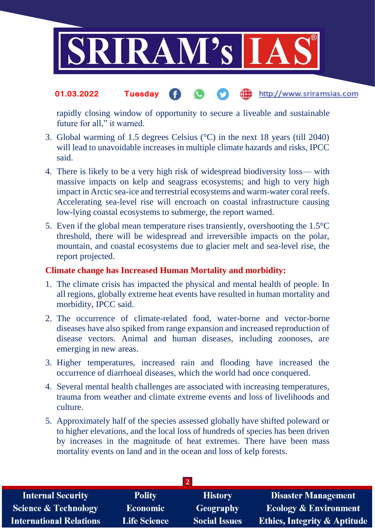

#### the http://www.sriramsias.com **01.03.2022 Tuesday**

rapidly closing window of opportunity to secure a liveable and sustainable future for all," it warned.

- 3. Global warming of 1.5 degrees Celsius (°C) in the next 18 years (till 2040) will lead to unavoidable increases in multiple climate hazards and risks, IPCC said.
- 4. There is likely to be a very high risk of widespread biodiversity loss— with massive impacts on kelp and seagrass ecosystems; and high to very high impact in Arctic sea-ice and terrestrial ecosystems and warm-water coral reefs. Accelerating sea-level rise will encroach on coastal infrastructure causing low-lying coastal ecosystems to submerge, the report warned.
- 5. Even if the global mean temperature rises transiently, overshooting the 1.5°C threshold, there will be widespread and irreversible impacts on the polar, mountain, and coastal ecosystems due to glacier melt and sea-level rise, the report projected.

# **Climate change has Increased Human Mortality and morbidity:**

- 1. The climate crisis has impacted the physical and mental health of people. In all regions, globally extreme heat events have resulted in human mortality and morbidity, IPCC said.
- 2. The occurrence of climate-related food, water-borne and vector-borne diseases have also spiked from range expansion and increased reproduction of disease vectors. Animal and human diseases, including zoonoses, are emerging in new areas.
- 3. Higher temperatures, increased rain and flooding have increased the occurrence of diarrhoeal diseases, which the world had once conquered.
- 4. Several mental health challenges are associated with increasing temperatures, trauma from weather and climate extreme events and loss of livelihoods and culture.
- 5. Approximately half of the species assessed globally have shifted poleward or to higher elevations, and the local loss of hundreds of species has been driven by increases in the magnitude of heat extremes. There have been mass mortality events on land and in the ocean and loss of kelp forests.

| <b>Internal Security</b>        | <b>Polity</b>       | <b>History</b>       | <b>Disaster Management</b>              |  |  |
|---------------------------------|---------------------|----------------------|-----------------------------------------|--|--|
| <b>Science &amp; Technology</b> | <b>Economic</b>     | Geography            | <b>Ecology &amp; Environment</b>        |  |  |
| <b>International Relations</b>  | <b>Life Science</b> | <b>Social Issues</b> | <b>Ethics, Integrity &amp; Aptitude</b> |  |  |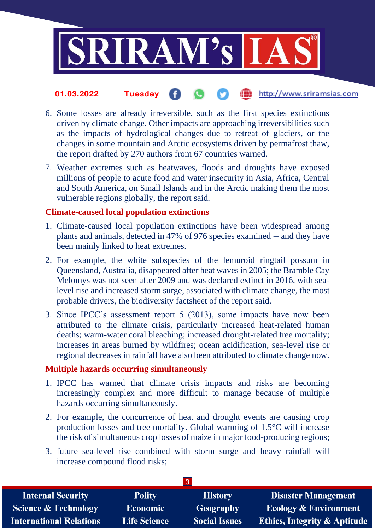

#### http://www.sriramsias.com **01.03.2022 Tuesday**

- 6. Some losses are already irreversible, such as the first species extinctions driven by climate change. Other impacts are approaching irreversibilities such as the impacts of hydrological changes due to retreat of glaciers, or the changes in some mountain and Arctic ecosystems driven by permafrost thaw, the report drafted by 270 authors from 67 countries warned.
- 7. Weather extremes such as heatwaves, floods and droughts have exposed millions of people to acute food and water insecurity in Asia, Africa, Central and South America, on Small Islands and in the Arctic making them the most vulnerable regions globally, the report said.

## **Climate-caused local population extinctions**

- 1. Climate-caused local population extinctions have been widespread among plants and animals, detected in 47% of 976 species examined -- and they have been mainly linked to heat extremes.
- 2. For example, the white subspecies of the lemuroid ringtail possum in Queensland, Australia, disappeared after heat waves in 2005; the Bramble Cay Melomys was not seen after 2009 and was declared extinct in 2016, with sealevel rise and increased storm surge, associated with climate change, the most probable drivers, the biodiversity factsheet of the report said.
- 3. Since IPCC's assessment report 5 (2013), some impacts have now been attributed to the climate crisis, particularly increased heat-related human deaths; warm-water coral bleaching; increased drought-related tree mortality; increases in areas burned by wildfires; ocean acidification, sea-level rise or regional decreases in rainfall have also been attributed to climate change now.

## **Multiple hazards occurring simultaneously**

- 1. IPCC has warned that climate crisis impacts and risks are becoming increasingly complex and more difficult to manage because of multiple hazards occurring simultaneously.
- 2. For example, the concurrence of heat and drought events are causing crop production losses and tree mortality. Global warming of 1.5°C will increase the risk of simultaneous crop losses of maize in major food-producing regions;
- 3. future sea-level rise combined with storm surge and heavy rainfall will increase compound flood risks;

| <b>Internal Security</b>        | <b>Polity</b>       | <b>History</b>       | <b>Disaster Management</b>              |  |  |
|---------------------------------|---------------------|----------------------|-----------------------------------------|--|--|
| <b>Science &amp; Technology</b> | <b>Economic</b>     | Geography            | <b>Ecology &amp; Environment</b>        |  |  |
| International Relations         | <b>Life Science</b> | <b>Social Issues</b> | <b>Ethics, Integrity &amp; Aptitude</b> |  |  |